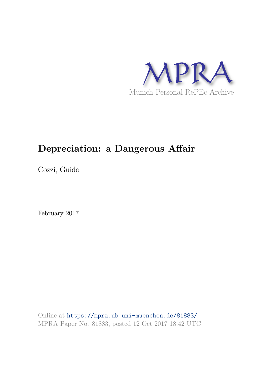

# **Depreciation: a Dangerous Affair**

Cozzi, Guido

February 2017

Online at https://mpra.ub.uni-muenchen.de/81883/ MPRA Paper No. 81883, posted 12 Oct 2017 18:42 UTC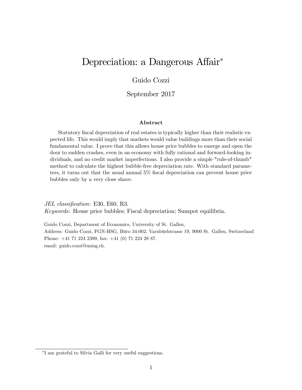## Depreciation: a Dangerous Affair<sup>\*</sup>

#### Guido Cozzi

#### September 2017

#### Abstract

Statutory fiscal depreciation of real estates is typically higher than their realistic expected life. This would imply that markets would value buildings more than their social fundamental value. I prove that this allows house price bubbles to emerge and open the door to sudden crashes, even in an economy with fully rational and forward-looking individuals, and no credit market imperfections. I also provide a simple "rule-of-thumb" method to calculate the highest bubble-free depreciation rate. With standard parameters, it turns out that the usual annual  $5\%$  fiscal depreciation can prevent house price bubbles only by a very close shave.

JEL classification: E30, E60, R3. Keywords: House price bubbles; Fiscal depreciation; Sunspot equilibria.

Guido Cozzi, Department of Economics, University of St. Gallen, Address: Guido Cozzi, FGN-HSG, Büro 34-002, Varnbüelstrasse 19, 9000 St. Gallen, Switzerland Phone: +41 71 224 2399, fax: +41 (0) 71 224 28 87. email: guido.cozzi@unisg.ch.

I am grateful to Silvia Galli for very useful suggestions.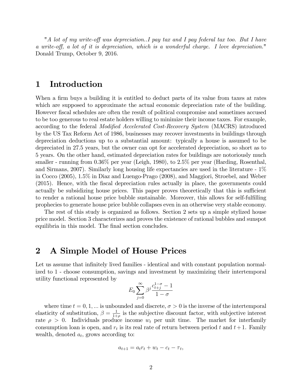"A lot of my write-off was depreciation..I pay tax and I pay federal tax too. But I have a write-off, a lot of it is depreciation, which is a wonderful charge. I love depreciation." Donald Trump, October 9, 2016.

### 1 Introduction

When a firm buys a building it is entitled to deduct parts of its value from taxes at rates which are supposed to approximate the actual economic depreciation rate of the building. However Öscal schedules are often the result of political compromise and sometimes accused to be too generous to real estate holders willing to minimize their income taxes. For example, according to the federal *Modified Accelerated Cost-Recovery System* (MACRS) introduced by the US Tax Reform Act of 1986, businesses may recover investments in buildings through depreciation deductions up to a substantial amount: typically a house is assumed to be depreciated in 27.5 years, but the owner can opt for accelerated depreciation, so short as to 5 years. On the other hand, estimated depreciation rates for buildings are notoriously much smaller - running from 0.36% per year (Leigh, 1980), to 2.5% per year (Harding, Rosenthal, and Sirmans, 2007). Similarly long housing life expectancies are used in the literature - 1% in Cocco (2005), 1.5% in Diaz and Luengo-Prago (2008), and Maggiori, Stroebel, and Weber (2015). Hence, with the Öscal depreciation rules actually in place, the governments could actually be subsidizing house prices. This paper proves theoretically that this is sufficient to render a rational house price bubble sustainable. Moreover, this allows for self-fulfilling prophecies to generate house price bubble collapses even in an otherwise very stable economy.

The rest of this study is organized as follows. Section 2 sets up a simple stylized house price model. Section 3 characterizes and proves the existence of rational bubbles and sunspot equilibria in this model. The final section concludes.

### 2 A Simple Model of House Prices

Let us assume that infinitely lived families - identical and with constant population normalized to 1 - choose consumption, savings and investment by maximizing their intertemporal utility functional represented by

$$
E_0 \sum_{j=0}^{\infty} \beta^j \frac{c_{t+j}^{1-\sigma} - 1}{1 - \sigma}
$$

where time  $t = 0, 1, ...$  is unbounded and discrete,  $\sigma > 0$  is the inverse of the intertemporal elasticity of substitution,  $\beta = \frac{1}{1+}$  $\frac{1}{1+\rho}$  is the subjective discount factor, with subjective interest rate  $\rho > 0$ . Individuals produce income  $w_t$  per unit time. The market for interfamily consumption loan is open, and  $r_t$  is its real rate of return between period t and  $t+1$ . Family wealth, denoted  $a_t$ , grows according to:

$$
a_{t+1} = a_t r_t + w_t - c_t - \tau_t,
$$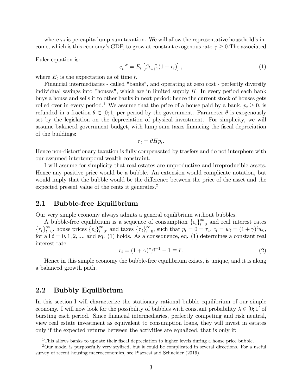where  $\tau_t$  is percapita lump-sum taxation. We will allow the representative household's income, which is this economy's GDP, to grow at constant exogenous rate  $\gamma \geq 0$ . The associated

Euler equation is:

$$
c_t^{-\sigma} = E_t \left[ \beta c_{t+1}^{-\sigma} (1 + r_t) \right], \tag{1}
$$

where  $E_t$  is the expectation as of time t.

Financial intermediaries - called "banks", and operating at zero cost - perfectly diversify individual savings into "houses", which are in limited supply  $H$ . In every period each bank buys a house and sells it to other banks in next period: hence the current stock of houses gets rolled over in every period.<sup>1</sup> We assume that the price of a house paid by a bank,  $p_t \ge 0$ , is refunded in a fraction  $\theta \in [0; 1]$  per period by the government. Parameter  $\theta$  is exogenously set by the legislation on the depreciation of physical investment. For simplicity, we will assume balanced government budget, with lump sum taxes financing the fiscal depreciation of the buildings:

$$
\tau_t = \theta H p_t.
$$

Hence non-distortionary taxation is fully compensated by trasfers and do not interphere with our assumed intertemporal wealth constraint.

I will assume for simplicity that real estates are unproductive and irreproducible assets. Hence any positive price would be a bubble. An extension would complicate notation, but would imply that the bubble would be the difference between the price of the asset and the expected present value of the rents it generates.<sup>2</sup>

#### 2.1 Bubble-free Equilibrium

Our very simple economy always admits a general equilibrium without bubbles.

A bubble-free equilibrium is a sequence of consumption  ${c_t}_{t=0}^{\infty}$  and real interest rates  ${r_t}_{t=0}^{\infty}$ , house prices  ${p_t}_{t=0}^{\infty}$ , and taxes  ${\tau_t}_{t=0}^{\infty}$ , such that  $p_t = 0 = \tau_t$ ,  $c_t = w_t = (1+\gamma)^t w_0$ , for all  $t = 0, 1, 2, \dots$ , and eq. (1) holds. As a consequence, eq. (1) determines a constant real interest rate

$$
r_t = (1+\gamma)^{\sigma} \beta^{-1} - 1 \equiv \bar{r}.\tag{2}
$$

Hence in this simple economy the bubble-free equilibrium exists, is unique, and it is along a balanced growth path.

#### 2.2 Bubbly Equilibrium

In this section I will characterize the stationary rational bubble equilibrium of our simple economy. I will now look for the possibility of bubbles with constant probability  $\lambda \in [0; 1]$  of bursting each period. Since financial intermediaries, perfectly competing and risk neutral, view real estate investment as equivalent to consumption loans, they will invest in estates only if the expected returns between the activities are equalized, that is only if:

 $1$ This allows banks to update their fiscal depreciation to higher levels during a house price bubble.

<sup>2</sup>Our model is purposefully very stylized, but it could be complicated in several directions. For a useful survey of recent housing macroeconomics, see Piazzesi and Schneider (2016).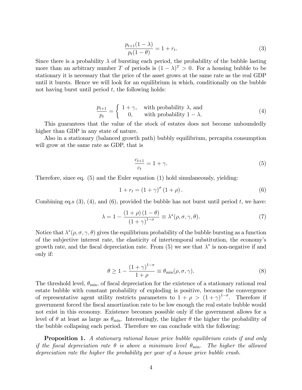$$
\frac{p_{t+1}(1-\lambda)}{p_t(1-\theta)} = 1 + r_t.
$$
\n(3)

Since there is a probability  $\lambda$  of bursting each period, the probability of the bubble lasting more than an arbitrary number T of periods is  $(1 - \lambda)^T > 0$ . For a housing bubble to be stationary it is necessary that the price of the asset grows at the same rate as the real GDP until it bursts. Hence we will look for an equilibrium in which, conditionally on the bubble not having burst until period  $t$ , the following holds:

$$
\frac{p_{t+1}}{p_t} = \begin{cases} 1 + \gamma, & \text{with probability } \lambda, \text{ and} \\ 0, & \text{with probability } 1 - \lambda. \end{cases}
$$
 (4)

This guarantees that the value of the stock of estates does not become unboundedly higher than GDP in any state of nature.

Also in a stationary (balanced growth path) bubbly equilibrium, percapita consumption will grow at the same rate as GDP, that is

$$
\frac{c_{t+1}}{c_t} = 1 + \gamma. \tag{5}
$$

Therefore, since eq. (5) and the Euler equation (1) hold simulaneously, yielding:

$$
1 + r_t = (1 + \gamma)^\sigma (1 + \rho).
$$
\n(6)

Combining eq.s  $(3)$ ,  $(4)$ , and  $(6)$ , provided the bubble has not burst until period t, we have:

$$
\lambda = 1 - \frac{(1+\rho)(1-\theta)}{(1+\gamma)^{1-\sigma}} \equiv \lambda^*(\rho, \sigma, \gamma, \theta). \tag{7}
$$

Notice that  $\lambda^*(\rho, \sigma, \gamma, \theta)$  gives the equilibrium probability of the bubble bursting as a function of the subjective interest rate, the elasticity of intertemporal substitution, the economyís growth rate, and the fiscal depreciation rate. From  $(5)$  we see that  $\lambda^*$  is non-negative if and only if:

$$
\theta \ge 1 - \frac{(1+\gamma)^{1-\sigma}}{1+\rho} \equiv \theta_{\min}(\rho, \sigma, \gamma). \tag{8}
$$

The threshold level,  $\theta_{\min}$ , of fiscal depreciation for the existence of a stationary rational real estate bubble with constant probability of exploding is positive, because the convergence of representative agent utility restricts parameters to  $1 + \rho > (1 + \gamma)^{1-\sigma}$ . Therefore if government forced the Öscal amortization rate to be low enough the real estate bubble would not exist in this economy. Existence becomes possible only if the government allows for a level of  $\theta$  at least as large as  $\theta_{\min}$ . Interestingly, the higher  $\theta$  the higher the probability of the bubble collapsing each period. Therefore we can conclude with the following:

**Proposition 1.** A stationary rational house price bubble equilibrium exists if and only if the fiscal depreciation rate  $\theta$  is above a minimum level  $\theta_{\min}$ . The higher the allowed depreciation rate the higher the probability per year of a house price bubble crash.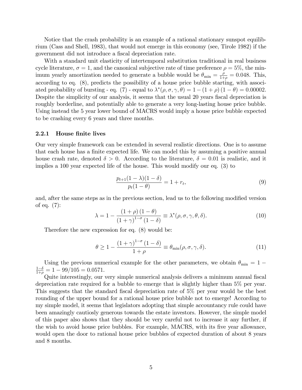Notice that the crash probability is an example of a rational stationary sunspot equilibrium (Cass and Shell, 1983), that would not emerge in this economy (see, Tirole 1982) if the government did not introduce a fiscal depreciation rate.

With a standard unit elasticity of intertemporal substitution traditional in real business cycle literature,  $\sigma = 1$ , and the canonical subjective rate of time preference  $\rho = 5\%$ , the minimum yearly amortization needed to generate a bubble would be  $\theta_{\min} = \frac{\rho}{1+\rho}$  $\frac{\rho}{1+\rho} = 0.048$ . This, according to eq. (8), predicts the possibility of a house price bubble starting, with associated probability of bursting - eq. (7) - equal to  $\lambda^*(\rho, \sigma, \gamma, \theta) = 1 - (1 + \rho)(1 - \theta) = 0.00002$ . Despite the simplicity of our analysis, it seems that the usual 20 years fiscal depreciation is roughly borderline, and potentially able to generate a very long-lasting house price bubble. Using instead the 5 year lower bound of MACRS would imply a house price bubble expected to be crashing every 6 years and three months.

#### 2.2.1 House finite lives

Our very simple framework can be extended in several realistic directions. One is to assume that each house has a finite expected life. We can model this by assuming a positive annual house crash rate, denoted  $\delta > 0$ . According to the literature,  $\delta = 0.01$  is realistic, and it implies a 100 year expected life of the house. This would modify our eq. (3) to

$$
\frac{p_{t+1}(1-\lambda)(1-\delta)}{p_t(1-\theta)} = 1 + r_t,
$$
\n(9)

and, after the same steps as in the previous section, lead us to the following modified version of eq. (7):

$$
\lambda = 1 - \frac{(1+\rho)(1-\theta)}{(1+\gamma)^{1-\sigma}(1-\delta)} \equiv \lambda^*(\rho, \sigma, \gamma, \theta, \delta). \tag{10}
$$

Therefore the new expression for eq. (8) would be:

$$
\theta \ge 1 - \frac{(1+\gamma)^{1-\sigma}(1-\delta)}{1+\rho} \equiv \theta_{\min}(\rho, \sigma, \gamma, \delta). \tag{11}
$$

Using the previous numerical example for the other parameters, we obtain  $\theta_{\rm min} = 1$  –  $1-\delta$  $\frac{1-\delta}{1+\rho} = 1 - 99/105 = 0.0571.$ 

Quite interestingly, our very simple numerical analysis delivers a minimum annual fiscal depreciation rate required for a bubble to emerge that is slightly higher than 5% per year. This suggests that the standard fiscal depreciation rate of 5% per year would be the best rounding of the upper bound for a rational house price bubble not to emerge! According to my simple model, it seems that legislators adopting that simple accountancy rule could have been amazingly cautiosly generous towards the estate investors. However, the simple model of this paper also shows that they should be very careful not to increase it any further, if the wish to avoid house price bubbles. For example, MACRS, with its five year allowance, would open the door to rational house price bubbles of expected duration of about 8 years and 8 months.